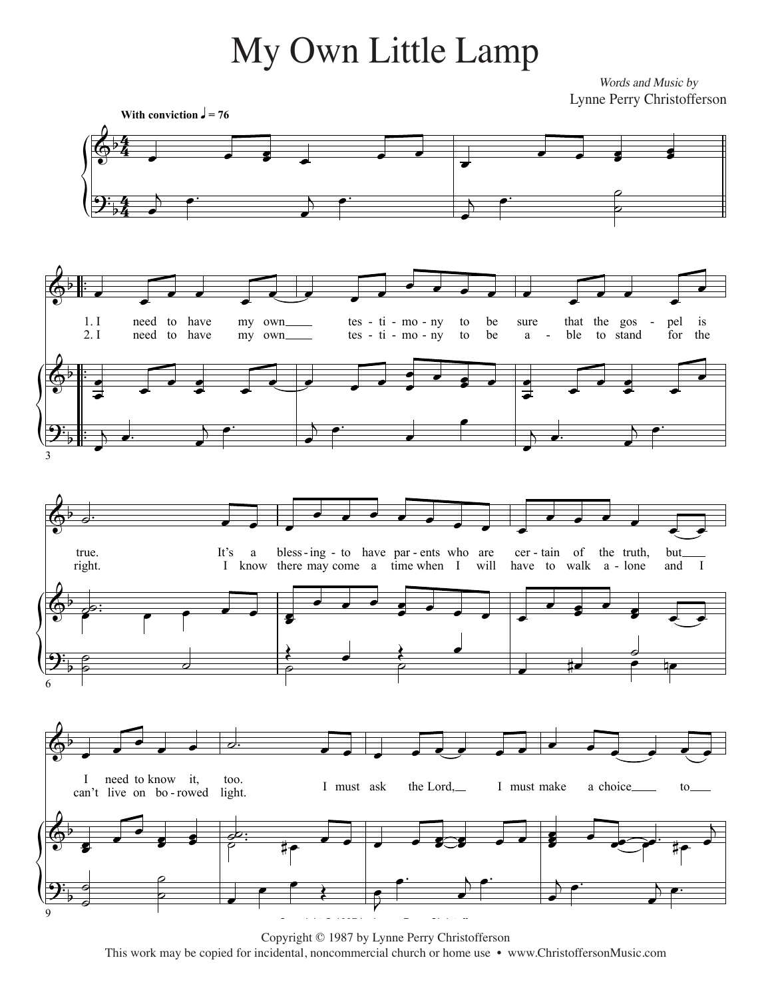## My Own Little Lamp

Words and Music by Lynne Perry Christofferson



Copyright © 1987 by Lynne Perry Christofferson This work may be copied for incidental, noncommercial church or home use • www.ChristoffersonMusic.com